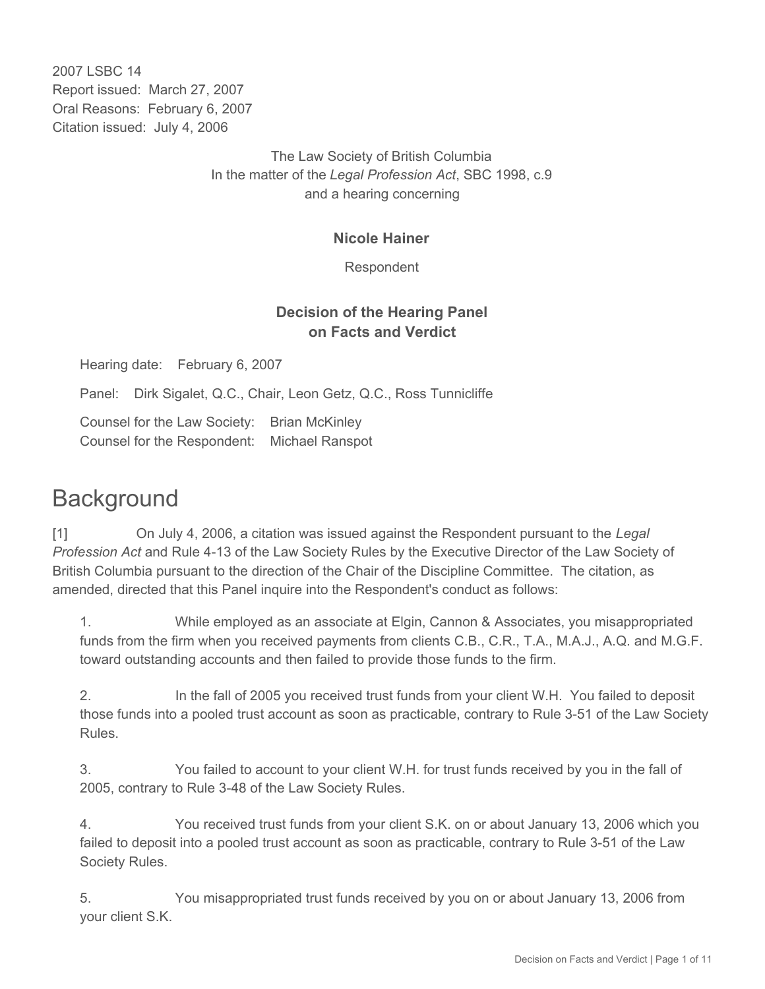2007 LSBC 14 Report issued: March 27, 2007 Oral Reasons: February 6, 2007 Citation issued: July 4, 2006

> The Law Society of British Columbia In the matter of the *Legal Profession Act*, SBC 1998, c.9 and a hearing concerning

#### **Nicole Hainer**

Respondent

# **Decision of the Hearing Panel on Facts and Verdict**

Hearing date: February 6, 2007

Panel: Dirk Sigalet, Q.C., Chair, Leon Getz, Q.C., Ross Tunnicliffe

Counsel for the Law Society: Brian McKinley Counsel for the Respondent: Michael Ranspot

# **Background**

[1] On July 4, 2006, a citation was issued against the Respondent pursuant to the *Legal Profession Act* and Rule 4-13 of the Law Society Rules by the Executive Director of the Law Society of British Columbia pursuant to the direction of the Chair of the Discipline Committee. The citation, as amended, directed that this Panel inquire into the Respondent's conduct as follows:

1. While employed as an associate at Elgin, Cannon & Associates, you misappropriated funds from the firm when you received payments from clients C.B., C.R., T.A., M.A.J., A.Q. and M.G.F. toward outstanding accounts and then failed to provide those funds to the firm.

2. In the fall of 2005 you received trust funds from your client W.H. You failed to deposit those funds into a pooled trust account as soon as practicable, contrary to Rule 3-51 of the Law Society Rules.

3. You failed to account to your client W.H. for trust funds received by you in the fall of 2005, contrary to Rule 3-48 of the Law Society Rules.

4. You received trust funds from your client S.K. on or about January 13, 2006 which you failed to deposit into a pooled trust account as soon as practicable, contrary to Rule 3-51 of the Law Society Rules.

5. You misappropriated trust funds received by you on or about January 13, 2006 from your client S.K.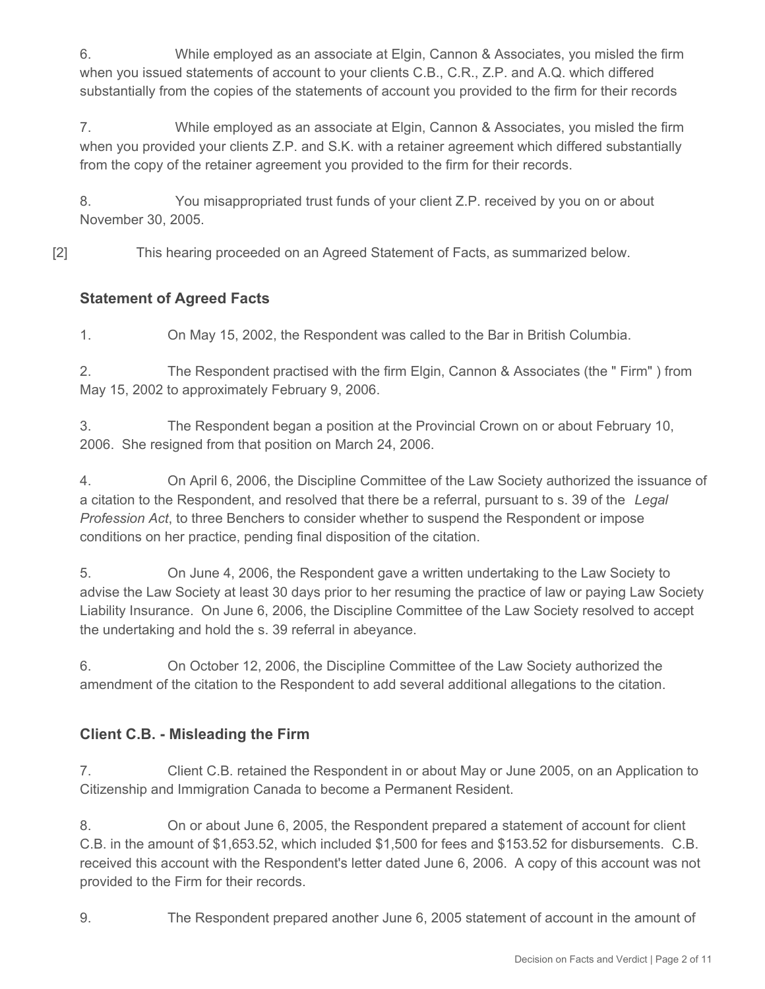6. While employed as an associate at Elgin, Cannon & Associates, you misled the firm when you issued statements of account to your clients C.B., C.R., Z.P. and A.Q. which differed substantially from the copies of the statements of account you provided to the firm for their records

7. While employed as an associate at Elgin, Cannon & Associates, you misled the firm when you provided your clients Z.P. and S.K. with a retainer agreement which differed substantially from the copy of the retainer agreement you provided to the firm for their records.

8. You misappropriated trust funds of your client Z.P. received by you on or about November 30, 2005.

[2] This hearing proceeded on an Agreed Statement of Facts, as summarized below.

# **Statement of Agreed Facts**

1. On May 15, 2002, the Respondent was called to the Bar in British Columbia.

2. The Respondent practised with the firm Elgin, Cannon & Associates (the " Firm" ) from May 15, 2002 to approximately February 9, 2006.

3. The Respondent began a position at the Provincial Crown on or about February 10, 2006. She resigned from that position on March 24, 2006.

4. On April 6, 2006, the Discipline Committee of the Law Society authorized the issuance of a citation to the Respondent, and resolved that there be a referral, pursuant to s. 39 of the *Legal Profession Act*, to three Benchers to consider whether to suspend the Respondent or impose conditions on her practice, pending final disposition of the citation.

5. On June 4, 2006, the Respondent gave a written undertaking to the Law Society to advise the Law Society at least 30 days prior to her resuming the practice of law or paying Law Society Liability Insurance. On June 6, 2006, the Discipline Committee of the Law Society resolved to accept the undertaking and hold the s. 39 referral in abeyance.

6. On October 12, 2006, the Discipline Committee of the Law Society authorized the amendment of the citation to the Respondent to add several additional allegations to the citation.

# **Client C.B. - Misleading the Firm**

7. Client C.B. retained the Respondent in or about May or June 2005, on an Application to Citizenship and Immigration Canada to become a Permanent Resident.

8. On or about June 6, 2005, the Respondent prepared a statement of account for client C.B. in the amount of \$1,653.52, which included \$1,500 for fees and \$153.52 for disbursements. C.B. received this account with the Respondent's letter dated June 6, 2006. A copy of this account was not provided to the Firm for their records.

9. The Respondent prepared another June 6, 2005 statement of account in the amount of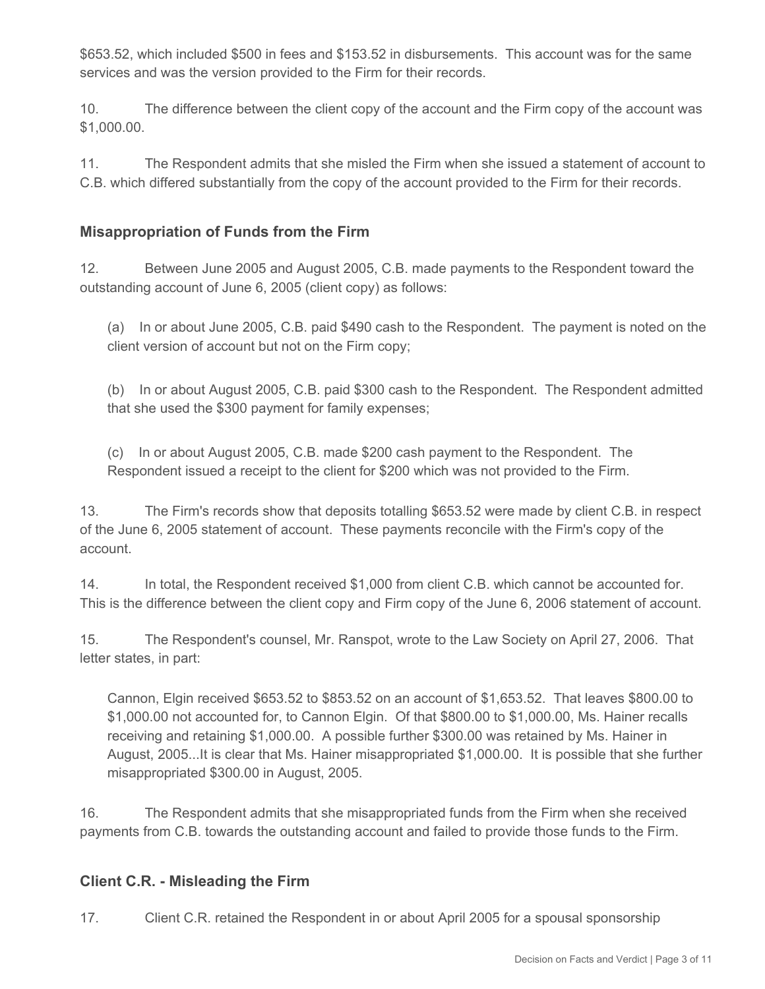\$653.52, which included \$500 in fees and \$153.52 in disbursements. This account was for the same services and was the version provided to the Firm for their records.

10. The difference between the client copy of the account and the Firm copy of the account was \$1,000.00.

11. The Respondent admits that she misled the Firm when she issued a statement of account to C.B. which differed substantially from the copy of the account provided to the Firm for their records.

## **Misappropriation of Funds from the Firm**

12. Between June 2005 and August 2005, C.B. made payments to the Respondent toward the outstanding account of June 6, 2005 (client copy) as follows:

(a) In or about June 2005, C.B. paid \$490 cash to the Respondent. The payment is noted on the client version of account but not on the Firm copy;

(b) In or about August 2005, C.B. paid \$300 cash to the Respondent. The Respondent admitted that she used the \$300 payment for family expenses;

(c) In or about August 2005, C.B. made \$200 cash payment to the Respondent. The Respondent issued a receipt to the client for \$200 which was not provided to the Firm.

13. The Firm's records show that deposits totalling \$653.52 were made by client C.B. in respect of the June 6, 2005 statement of account. These payments reconcile with the Firm's copy of the account.

14. In total, the Respondent received \$1,000 from client C.B. which cannot be accounted for. This is the difference between the client copy and Firm copy of the June 6, 2006 statement of account.

15. The Respondent's counsel, Mr. Ranspot, wrote to the Law Society on April 27, 2006. That letter states, in part:

Cannon, Elgin received \$653.52 to \$853.52 on an account of \$1,653.52. That leaves \$800.00 to \$1,000.00 not accounted for, to Cannon Elgin. Of that \$800.00 to \$1,000.00, Ms. Hainer recalls receiving and retaining \$1,000.00. A possible further \$300.00 was retained by Ms. Hainer in August, 2005...It is clear that Ms. Hainer misappropriated \$1,000.00. It is possible that she further misappropriated \$300.00 in August, 2005.

16. The Respondent admits that she misappropriated funds from the Firm when she received payments from C.B. towards the outstanding account and failed to provide those funds to the Firm.

#### **Client C.R. - Misleading the Firm**

17. Client C.R. retained the Respondent in or about April 2005 for a spousal sponsorship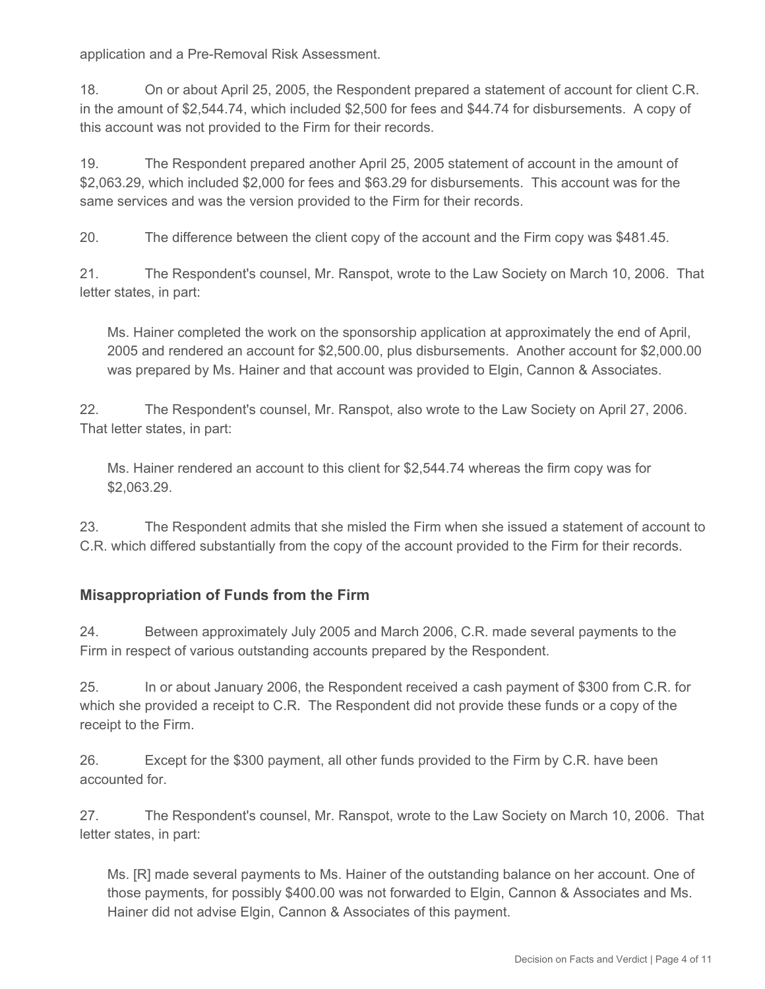application and a Pre-Removal Risk Assessment.

18. On or about April 25, 2005, the Respondent prepared a statement of account for client C.R. in the amount of \$2,544.74, which included \$2,500 for fees and \$44.74 for disbursements. A copy of this account was not provided to the Firm for their records.

19. The Respondent prepared another April 25, 2005 statement of account in the amount of \$2,063.29, which included \$2,000 for fees and \$63.29 for disbursements. This account was for the same services and was the version provided to the Firm for their records.

20. The difference between the client copy of the account and the Firm copy was \$481.45.

21. The Respondent's counsel, Mr. Ranspot, wrote to the Law Society on March 10, 2006. That letter states, in part:

Ms. Hainer completed the work on the sponsorship application at approximately the end of April, 2005 and rendered an account for \$2,500.00, plus disbursements. Another account for \$2,000.00 was prepared by Ms. Hainer and that account was provided to Elgin, Cannon & Associates.

22. The Respondent's counsel, Mr. Ranspot, also wrote to the Law Society on April 27, 2006. That letter states, in part:

Ms. Hainer rendered an account to this client for \$2,544.74 whereas the firm copy was for \$2,063.29.

23. The Respondent admits that she misled the Firm when she issued a statement of account to C.R. which differed substantially from the copy of the account provided to the Firm for their records.

#### **Misappropriation of Funds from the Firm**

24. Between approximately July 2005 and March 2006, C.R. made several payments to the Firm in respect of various outstanding accounts prepared by the Respondent.

25. In or about January 2006, the Respondent received a cash payment of \$300 from C.R. for which she provided a receipt to C.R. The Respondent did not provide these funds or a copy of the receipt to the Firm.

26. Except for the \$300 payment, all other funds provided to the Firm by C.R. have been accounted for.

27. The Respondent's counsel, Mr. Ranspot, wrote to the Law Society on March 10, 2006. That letter states, in part:

Ms. [R] made several payments to Ms. Hainer of the outstanding balance on her account. One of those payments, for possibly \$400.00 was not forwarded to Elgin, Cannon & Associates and Ms. Hainer did not advise Elgin, Cannon & Associates of this payment.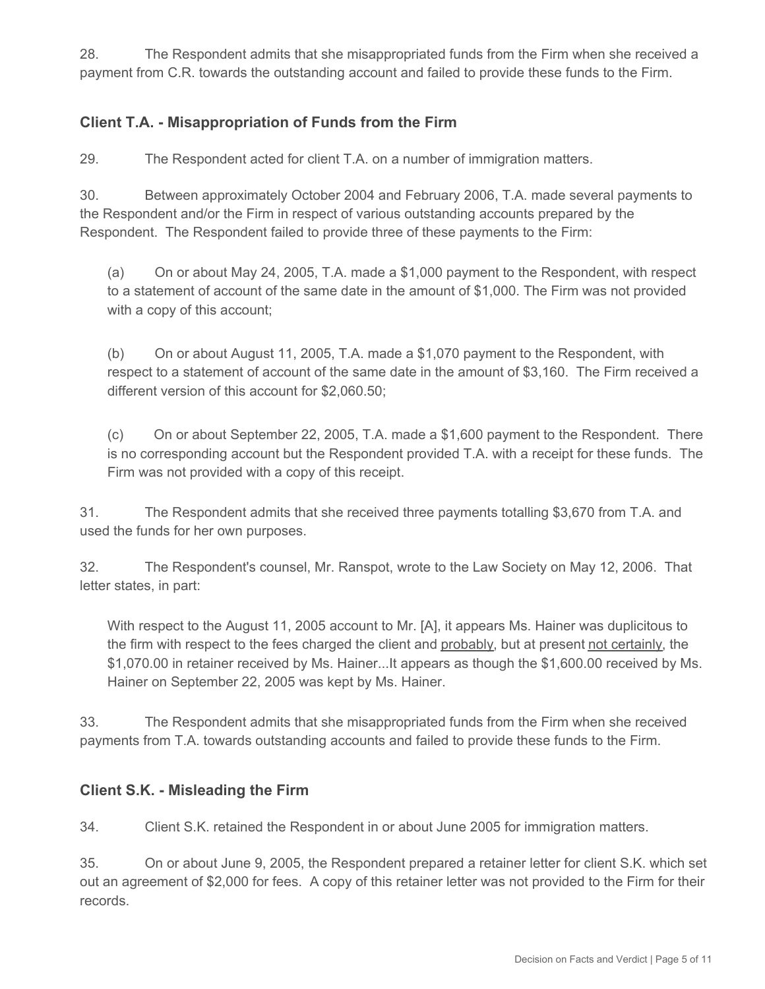28. The Respondent admits that she misappropriated funds from the Firm when she received a payment from C.R. towards the outstanding account and failed to provide these funds to the Firm.

## **Client T.A. - Misappropriation of Funds from the Firm**

29. The Respondent acted for client T.A. on a number of immigration matters.

30. Between approximately October 2004 and February 2006, T.A. made several payments to the Respondent and/or the Firm in respect of various outstanding accounts prepared by the Respondent. The Respondent failed to provide three of these payments to the Firm:

(a) On or about May 24, 2005, T.A. made a \$1,000 payment to the Respondent, with respect to a statement of account of the same date in the amount of \$1,000. The Firm was not provided with a copy of this account;

(b) On or about August 11, 2005, T.A. made a \$1,070 payment to the Respondent, with respect to a statement of account of the same date in the amount of \$3,160. The Firm received a different version of this account for \$2,060.50;

(c) On or about September 22, 2005, T.A. made a \$1,600 payment to the Respondent. There is no corresponding account but the Respondent provided T.A. with a receipt for these funds. The Firm was not provided with a copy of this receipt.

31. The Respondent admits that she received three payments totalling \$3,670 from T.A. and used the funds for her own purposes.

32. The Respondent's counsel, Mr. Ranspot, wrote to the Law Society on May 12, 2006. That letter states, in part:

With respect to the August 11, 2005 account to Mr. [A], it appears Ms. Hainer was duplicitous to the firm with respect to the fees charged the client and probably, but at present not certainly, the \$1,070.00 in retainer received by Ms. Hainer...It appears as though the \$1,600.00 received by Ms. Hainer on September 22, 2005 was kept by Ms. Hainer.

33. The Respondent admits that she misappropriated funds from the Firm when she received payments from T.A. towards outstanding accounts and failed to provide these funds to the Firm.

#### **Client S.K. - Misleading the Firm**

34. Client S.K. retained the Respondent in or about June 2005 for immigration matters.

35. On or about June 9, 2005, the Respondent prepared a retainer letter for client S.K. which set out an agreement of \$2,000 for fees. A copy of this retainer letter was not provided to the Firm for their records.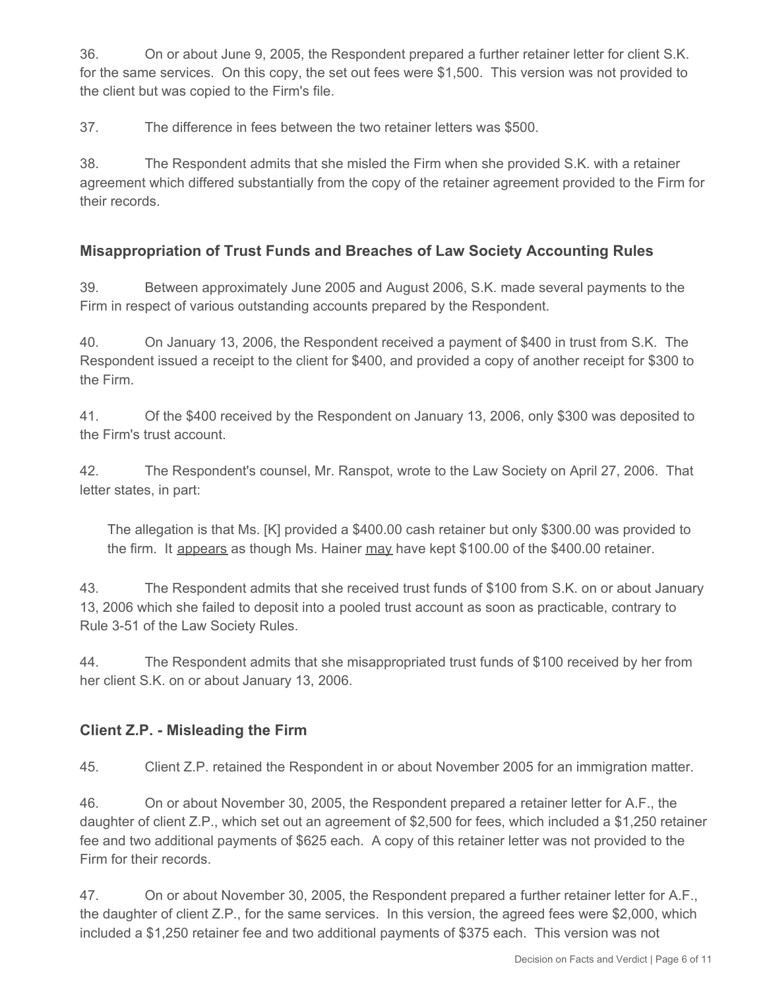36. On or about June 9, 2005, the Respondent prepared a further retainer letter for client S.K. for the same services. On this copy, the set out fees were \$1,500. This version was not provided to the client but was copied to the Firm's file.

37. The difference in fees between the two retainer letters was \$500.

38. The Respondent admits that she misled the Firm when she provided S.K. with a retainer agreement which differed substantially from the copy of the retainer agreement provided to the Firm for their records.

#### **Misappropriation of Trust Funds and Breaches of Law Society Accounting Rules**

39. Between approximately June 2005 and August 2006, S.K. made several payments to the Firm in respect of various outstanding accounts prepared by the Respondent.

40. On January 13, 2006, the Respondent received a payment of \$400 in trust from S.K. The Respondent issued a receipt to the client for \$400, and provided a copy of another receipt for \$300 to the Firm.

41. Of the \$400 received by the Respondent on January 13, 2006, only \$300 was deposited to the Firm's trust account.

42. The Respondent's counsel, Mr. Ranspot, wrote to the Law Society on April 27, 2006. That letter states, in part:

The allegation is that Ms. [K] provided a \$400.00 cash retainer but only \$300.00 was provided to the firm. It appears as though Ms. Hainer may have kept \$100.00 of the \$400.00 retainer.

43. The Respondent admits that she received trust funds of \$100 from S.K. on or about January 13, 2006 which she failed to deposit into a pooled trust account as soon as practicable, contrary to Rule 3-51 of the Law Society Rules.

44. The Respondent admits that she misappropriated trust funds of \$100 received by her from her client S.K. on or about January 13, 2006.

#### **Client Z.P. - Misleading the Firm**

45. Client Z.P. retained the Respondent in or about November 2005 for an immigration matter.

46. On or about November 30, 2005, the Respondent prepared a retainer letter for A.F., the daughter of client Z.P., which set out an agreement of \$2,500 for fees, which included a \$1,250 retainer fee and two additional payments of \$625 each. A copy of this retainer letter was not provided to the Firm for their records.

47. On or about November 30, 2005, the Respondent prepared a further retainer letter for A.F., the daughter of client Z.P., for the same services. In this version, the agreed fees were \$2,000, which included a \$1,250 retainer fee and two additional payments of \$375 each. This version was not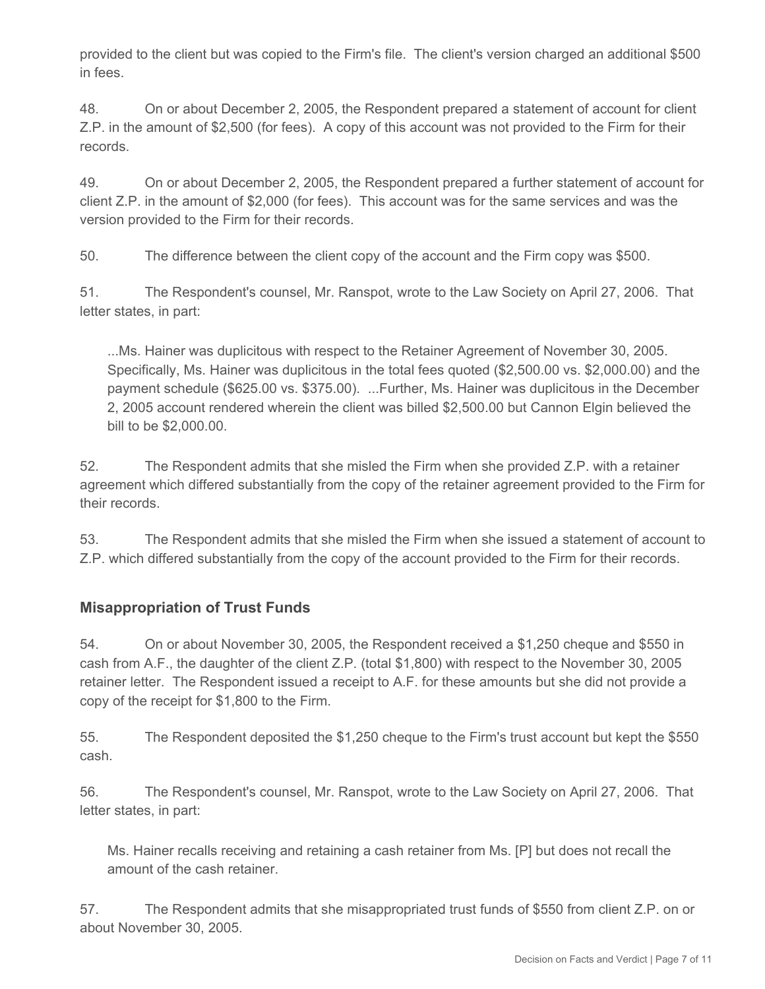provided to the client but was copied to the Firm's file. The client's version charged an additional \$500 in fees.

48. On or about December 2, 2005, the Respondent prepared a statement of account for client Z.P. in the amount of \$2,500 (for fees). A copy of this account was not provided to the Firm for their records.

49. On or about December 2, 2005, the Respondent prepared a further statement of account for client Z.P. in the amount of \$2,000 (for fees). This account was for the same services and was the version provided to the Firm for their records.

50. The difference between the client copy of the account and the Firm copy was \$500.

51. The Respondent's counsel, Mr. Ranspot, wrote to the Law Society on April 27, 2006. That letter states, in part:

...Ms. Hainer was duplicitous with respect to the Retainer Agreement of November 30, 2005. Specifically, Ms. Hainer was duplicitous in the total fees quoted (\$2,500.00 vs. \$2,000.00) and the payment schedule (\$625.00 vs. \$375.00). ...Further, Ms. Hainer was duplicitous in the December 2, 2005 account rendered wherein the client was billed \$2,500.00 but Cannon Elgin believed the bill to be \$2,000.00.

52. The Respondent admits that she misled the Firm when she provided Z.P. with a retainer agreement which differed substantially from the copy of the retainer agreement provided to the Firm for their records.

53. The Respondent admits that she misled the Firm when she issued a statement of account to Z.P. which differed substantially from the copy of the account provided to the Firm for their records.

#### **Misappropriation of Trust Funds**

54. On or about November 30, 2005, the Respondent received a \$1,250 cheque and \$550 in cash from A.F., the daughter of the client Z.P. (total \$1,800) with respect to the November 30, 2005 retainer letter. The Respondent issued a receipt to A.F. for these amounts but she did not provide a copy of the receipt for \$1,800 to the Firm.

55. The Respondent deposited the \$1,250 cheque to the Firm's trust account but kept the \$550 cash.

56. The Respondent's counsel, Mr. Ranspot, wrote to the Law Society on April 27, 2006. That letter states, in part:

Ms. Hainer recalls receiving and retaining a cash retainer from Ms. [P] but does not recall the amount of the cash retainer.

57. The Respondent admits that she misappropriated trust funds of \$550 from client Z.P. on or about November 30, 2005.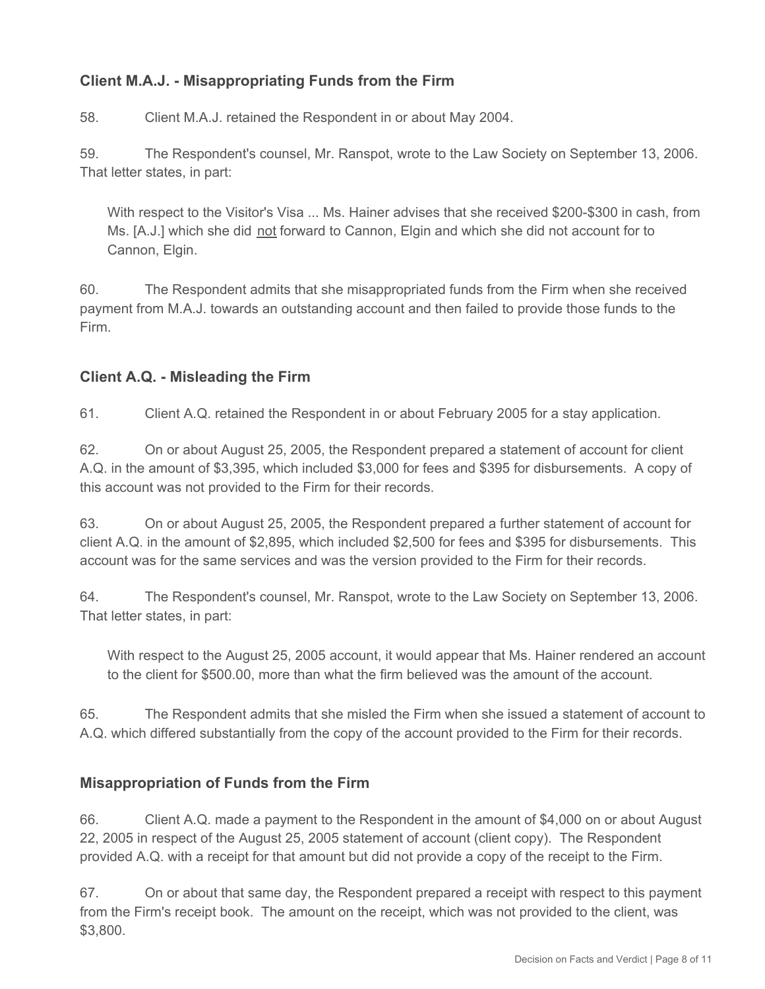# **Client M.A.J. - Misappropriating Funds from the Firm**

58. Client M.A.J. retained the Respondent in or about May 2004.

59. The Respondent's counsel, Mr. Ranspot, wrote to the Law Society on September 13, 2006. That letter states, in part:

With respect to the Visitor's Visa ... Ms. Hainer advises that she received \$200-\$300 in cash, from Ms. [A.J.] which she did not forward to Cannon, Elgin and which she did not account for to Cannon, Elgin.

60. The Respondent admits that she misappropriated funds from the Firm when she received payment from M.A.J. towards an outstanding account and then failed to provide those funds to the Firm.

#### **Client A.Q. - Misleading the Firm**

61. Client A.Q. retained the Respondent in or about February 2005 for a stay application.

62. On or about August 25, 2005, the Respondent prepared a statement of account for client A.Q. in the amount of \$3,395, which included \$3,000 for fees and \$395 for disbursements. A copy of this account was not provided to the Firm for their records.

63. On or about August 25, 2005, the Respondent prepared a further statement of account for client A.Q. in the amount of \$2,895, which included \$2,500 for fees and \$395 for disbursements. This account was for the same services and was the version provided to the Firm for their records.

64. The Respondent's counsel, Mr. Ranspot, wrote to the Law Society on September 13, 2006. That letter states, in part:

With respect to the August 25, 2005 account, it would appear that Ms. Hainer rendered an account to the client for \$500.00, more than what the firm believed was the amount of the account.

65. The Respondent admits that she misled the Firm when she issued a statement of account to A.Q. which differed substantially from the copy of the account provided to the Firm for their records.

#### **Misappropriation of Funds from the Firm**

66. Client A.Q. made a payment to the Respondent in the amount of \$4,000 on or about August 22, 2005 in respect of the August 25, 2005 statement of account (client copy). The Respondent provided A.Q. with a receipt for that amount but did not provide a copy of the receipt to the Firm.

67. On or about that same day, the Respondent prepared a receipt with respect to this payment from the Firm's receipt book. The amount on the receipt, which was not provided to the client, was \$3,800.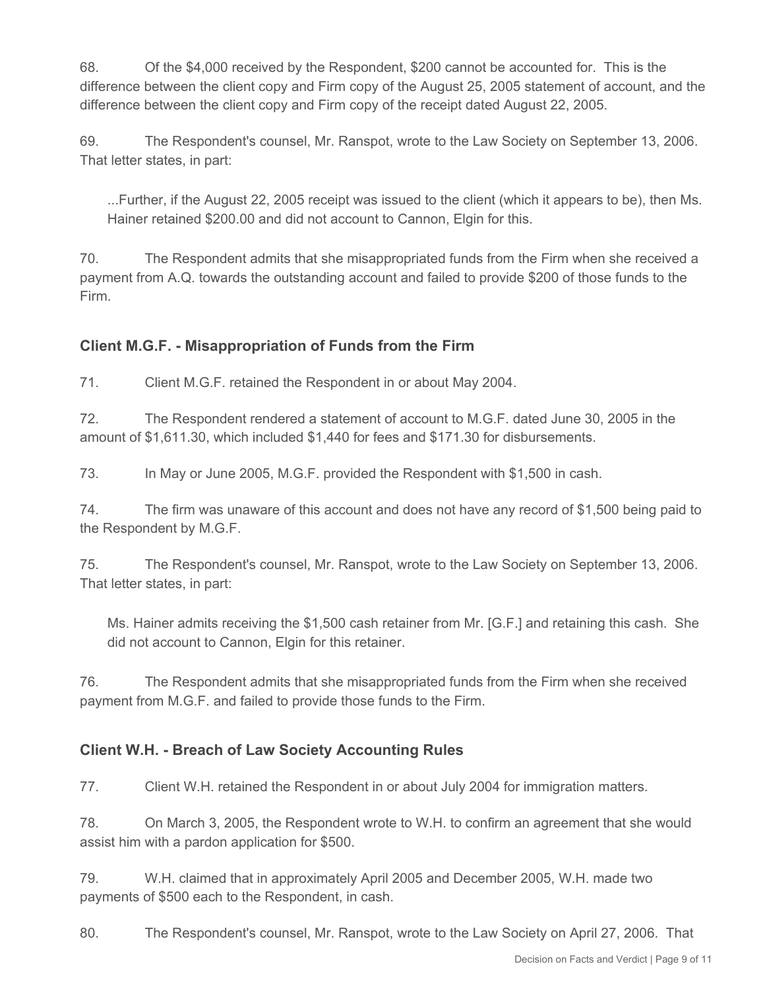68. Of the \$4,000 received by the Respondent, \$200 cannot be accounted for. This is the difference between the client copy and Firm copy of the August 25, 2005 statement of account, and the difference between the client copy and Firm copy of the receipt dated August 22, 2005.

69. The Respondent's counsel, Mr. Ranspot, wrote to the Law Society on September 13, 2006. That letter states, in part:

...Further, if the August 22, 2005 receipt was issued to the client (which it appears to be), then Ms. Hainer retained \$200.00 and did not account to Cannon, Elgin for this.

70. The Respondent admits that she misappropriated funds from the Firm when she received a payment from A.Q. towards the outstanding account and failed to provide \$200 of those funds to the Firm.

# **Client M.G.F. - Misappropriation of Funds from the Firm**

71. Client M.G.F. retained the Respondent in or about May 2004.

72. The Respondent rendered a statement of account to M.G.F. dated June 30, 2005 in the amount of \$1,611.30, which included \$1,440 for fees and \$171.30 for disbursements.

73. In May or June 2005, M.G.F. provided the Respondent with \$1,500 in cash.

74. The firm was unaware of this account and does not have any record of \$1,500 being paid to the Respondent by M.G.F.

75. The Respondent's counsel, Mr. Ranspot, wrote to the Law Society on September 13, 2006. That letter states, in part:

Ms. Hainer admits receiving the \$1,500 cash retainer from Mr. [G.F.] and retaining this cash. She did not account to Cannon, Elgin for this retainer.

76. The Respondent admits that she misappropriated funds from the Firm when she received payment from M.G.F. and failed to provide those funds to the Firm.

#### **Client W.H. - Breach of Law Society Accounting Rules**

77. Client W.H. retained the Respondent in or about July 2004 for immigration matters.

78. On March 3, 2005, the Respondent wrote to W.H. to confirm an agreement that she would assist him with a pardon application for \$500.

79. W.H. claimed that in approximately April 2005 and December 2005, W.H. made two payments of \$500 each to the Respondent, in cash.

80. The Respondent's counsel, Mr. Ranspot, wrote to the Law Society on April 27, 2006. That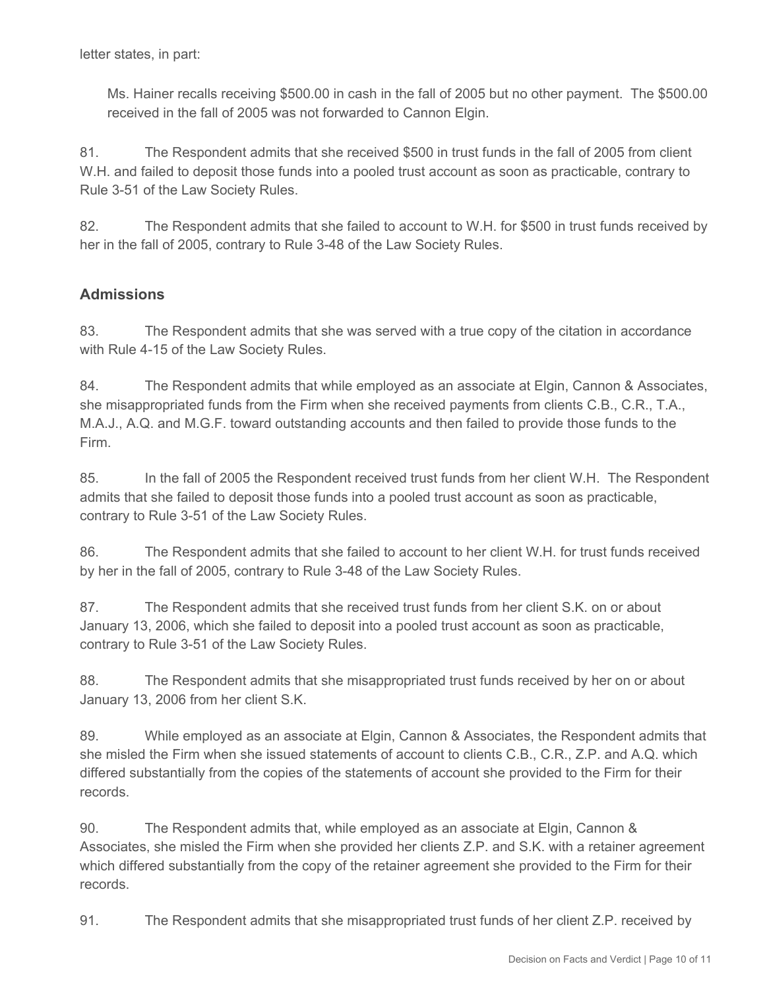Ms. Hainer recalls receiving \$500.00 in cash in the fall of 2005 but no other payment. The \$500.00 received in the fall of 2005 was not forwarded to Cannon Elgin.

81. The Respondent admits that she received \$500 in trust funds in the fall of 2005 from client W.H. and failed to deposit those funds into a pooled trust account as soon as practicable, contrary to Rule 3-51 of the Law Society Rules.

82. The Respondent admits that she failed to account to W.H. for \$500 in trust funds received by her in the fall of 2005, contrary to Rule 3-48 of the Law Society Rules.

## **Admissions**

83. The Respondent admits that she was served with a true copy of the citation in accordance with Rule 4-15 of the Law Society Rules.

84. The Respondent admits that while employed as an associate at Elgin, Cannon & Associates, she misappropriated funds from the Firm when she received payments from clients C.B., C.R., T.A., M.A.J., A.Q. and M.G.F. toward outstanding accounts and then failed to provide those funds to the Firm.

85. In the fall of 2005 the Respondent received trust funds from her client W.H. The Respondent admits that she failed to deposit those funds into a pooled trust account as soon as practicable, contrary to Rule 3-51 of the Law Society Rules.

86. The Respondent admits that she failed to account to her client W.H. for trust funds received by her in the fall of 2005, contrary to Rule 3-48 of the Law Society Rules.

87. The Respondent admits that she received trust funds from her client S.K. on or about January 13, 2006, which she failed to deposit into a pooled trust account as soon as practicable, contrary to Rule 3-51 of the Law Society Rules.

88. The Respondent admits that she misappropriated trust funds received by her on or about January 13, 2006 from her client S.K.

89. While employed as an associate at Elgin, Cannon & Associates, the Respondent admits that she misled the Firm when she issued statements of account to clients C.B., C.R., Z.P. and A.Q. which differed substantially from the copies of the statements of account she provided to the Firm for their records.

90. The Respondent admits that, while employed as an associate at Elgin, Cannon & Associates, she misled the Firm when she provided her clients Z.P. and S.K. with a retainer agreement which differed substantially from the copy of the retainer agreement she provided to the Firm for their records.

91. The Respondent admits that she misappropriated trust funds of her client Z.P. received by